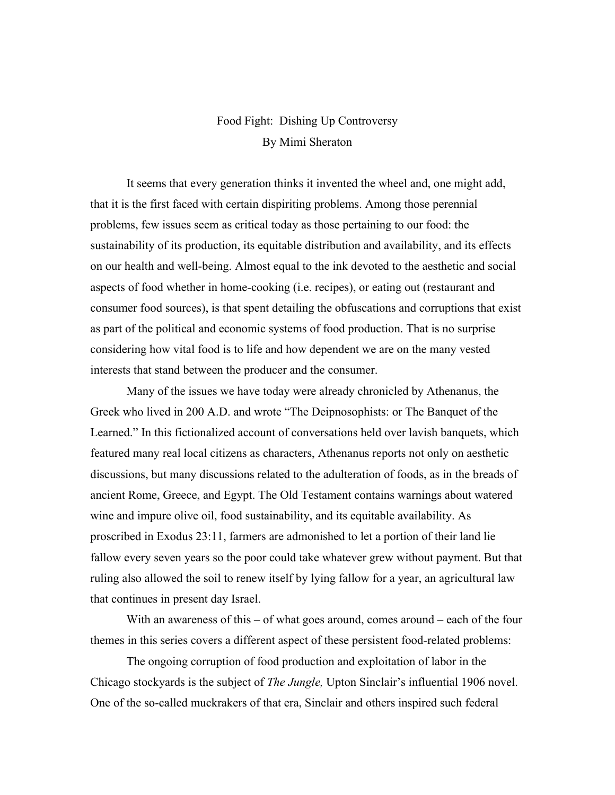## Food Fight: Dishing Up Controversy By Mimi Sheraton

It seems that every generation thinks it invented the wheel and, one might add, that it is the first faced with certain dispiriting problems. Among those perennial problems, few issues seem as critical today as those pertaining to our food: the sustainability of its production, its equitable distribution and availability, and its effects on our health and well-being. Almost equal to the ink devoted to the aesthetic and social aspects of food whether in home-cooking (i.e. recipes), or eating out (restaurant and consumer food sources), is that spent detailing the obfuscations and corruptions that exist as part of the political and economic systems of food production. That is no surprise considering how vital food is to life and how dependent we are on the many vested interests that stand between the producer and the consumer.

Many of the issues we have today were already chronicled by Athenanus, the Greek who lived in 200 A.D. and wrote "The Deipnosophists: or The Banquet of the Learned." In this fictionalized account of conversations held over lavish banquets, which featured many real local citizens as characters, Athenanus reports not only on aesthetic discussions, but many discussions related to the adulteration of foods, as in the breads of ancient Rome, Greece, and Egypt. The Old Testament contains warnings about watered wine and impure olive oil, food sustainability, and its equitable availability. As proscribed in Exodus 23:11, farmers are admonished to let a portion of their land lie fallow every seven years so the poor could take whatever grew without payment. But that ruling also allowed the soil to renew itself by lying fallow for a year, an agricultural law that continues in present day Israel.

With an awareness of this – of what goes around, comes around – each of the four themes in this series covers a different aspect of these persistent food-related problems:

The ongoing corruption of food production and exploitation of labor in the Chicago stockyards is the subject of *The Jungle,* Upton Sinclair's influential 1906 novel. One of the so-called muckrakers of that era, Sinclair and others inspired such federal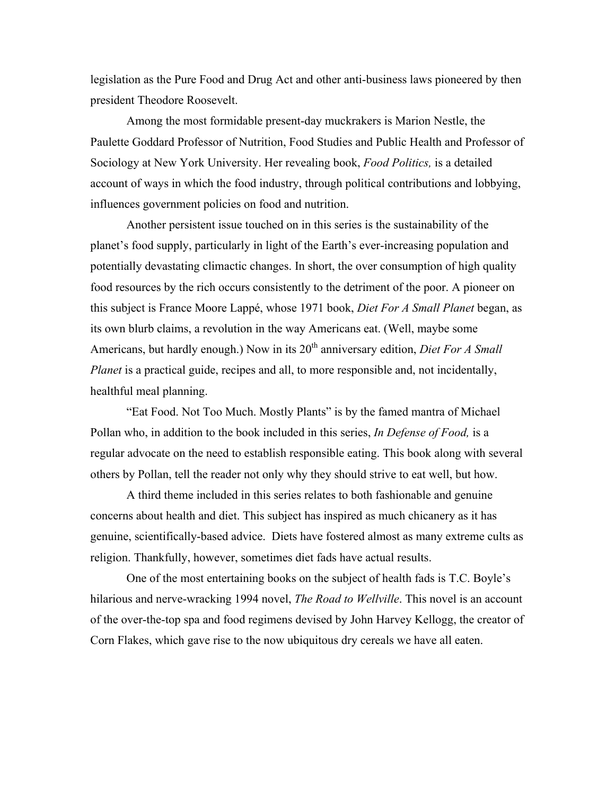legislation as the Pure Food and Drug Act and other anti-business laws pioneered by then president Theodore Roosevelt.

Among the most formidable present-day muckrakers is Marion Nestle, the Paulette Goddard Professor of Nutrition, Food Studies and Public Health and Professor of Sociology at New York University. Her revealing book, *Food Politics,* is a detailed account of ways in which the food industry, through political contributions and lobbying, influences government policies on food and nutrition.

Another persistent issue touched on in this series is the sustainability of the planet's food supply, particularly in light of the Earth's ever-increasing population and potentially devastating climactic changes. In short, the over consumption of high quality food resources by the rich occurs consistently to the detriment of the poor. A pioneer on this subject is France Moore Lappé, whose 1971 book, *Diet For A Small Planet* began, as its own blurb claims, a revolution in the way Americans eat. (Well, maybe some Americans, but hardly enough.) Now in its 20<sup>th</sup> anniversary edition, *Diet For A Small Planet* is a practical guide, recipes and all, to more responsible and, not incidentally, healthful meal planning.

"Eat Food. Not Too Much. Mostly Plants" is by the famed mantra of Michael Pollan who, in addition to the book included in this series, *In Defense of Food,* is a regular advocate on the need to establish responsible eating. This book along with several others by Pollan, tell the reader not only why they should strive to eat well, but how.

A third theme included in this series relates to both fashionable and genuine concerns about health and diet. This subject has inspired as much chicanery as it has genuine, scientifically-based advice. Diets have fostered almost as many extreme cults as religion. Thankfully, however, sometimes diet fads have actual results.

One of the most entertaining books on the subject of health fads is T.C. Boyle's hilarious and nerve-wracking 1994 novel, *The Road to Wellville*. This novel is an account of the over-the-top spa and food regimens devised by John Harvey Kellogg, the creator of Corn Flakes, which gave rise to the now ubiquitous dry cereals we have all eaten.